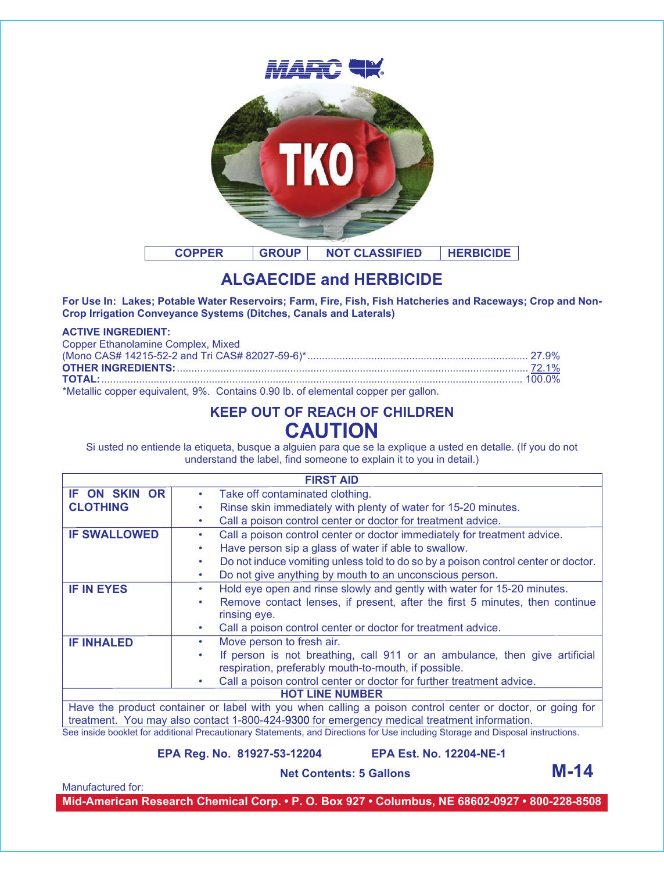

# **ALGAECIDE and HERBICIDE**

For Use In: Lakes; Potable Water Reservoirs; Farm, Fire, Fish, Fish Hatcheries and Raceways; Crop and Non-**Crop Irrigation Conveyance Systems (Ditches, Canals and Laterals)**

#### **ACTIVE INGREDIENT:**

| Copper Ethanolamine Complex, Mixed                                                 |  |
|------------------------------------------------------------------------------------|--|
|                                                                                    |  |
|                                                                                    |  |
|                                                                                    |  |
| *Metallic copper equivalent, 9%. Contains 0.90 lb. of elemental copper per gallon. |  |

# **KEEP OUT OF REACH OF CHILDREN CAUTION**

Si usted no entiende la etiqueta, busque a alguien para que se la explique a usted en detalle. (If you do not understand the label, find someone to explain it to you in detail.)

|                        | <b>FIRST AID</b>                                                                                          |  |  |  |
|------------------------|-----------------------------------------------------------------------------------------------------------|--|--|--|
| IF ON SKIN OR          | Take off contaminated clothing.<br>۰                                                                      |  |  |  |
| <b>CLOTHING</b>        | Rinse skin immediately with plenty of water for 15-20 minutes.                                            |  |  |  |
|                        | Call a poison control center or doctor for treatment advice.<br>۰                                         |  |  |  |
| <b>IF SWALLOWED</b>    | Call a poison control center or doctor immediately for treatment advice.<br>۰                             |  |  |  |
|                        | Have person sip a glass of water if able to swallow.<br>۰                                                 |  |  |  |
|                        | Do not induce vomiting unless told to do so by a poison control center or doctor.<br>۰                    |  |  |  |
|                        | Do not give anything by mouth to an unconscious person.<br>$\bullet$                                      |  |  |  |
| <b>IF IN EYES</b>      | Hold eye open and rinse slowly and gently with water for 15-20 minutes.<br>$\bullet$                      |  |  |  |
|                        | Remove contact lenses, if present, after the first 5 minutes, then continue                               |  |  |  |
|                        | rinsing eye.                                                                                              |  |  |  |
|                        | Call a poison control center or doctor for treatment advice.<br>$\bullet$                                 |  |  |  |
| <b>IF INHALED</b>      | Move person to fresh air.<br>٠                                                                            |  |  |  |
|                        | If person is not breathing, call 911 or an ambulance, then give artificial                                |  |  |  |
|                        | respiration, preferably mouth-to-mouth, if possible.                                                      |  |  |  |
|                        | Call a poison control center or doctor for further treatment advice.                                      |  |  |  |
| <b>HOT LINE NUMBER</b> |                                                                                                           |  |  |  |
|                        | Have the product container or label with you when calling a poison control center or doctor, or going for |  |  |  |
|                        | treatment. You may also contact 1-800-424-9300 for emergency medical treatment information.               |  |  |  |

See inside booklet for additional Precautionary Statements, and Directions for Use including Storage and Disposal instructions.

#### **EPA Reg. No. 81927-53-12204 EPA Est. No. 12204-NE-1**

**Net Contents: <sup>5</sup> Gallons M-14**

Manufactured for:

**Mid-American Research Chemical Corp. • P. O. Box 927 • Columbus, NE 68602-0927 • 800-228-8508**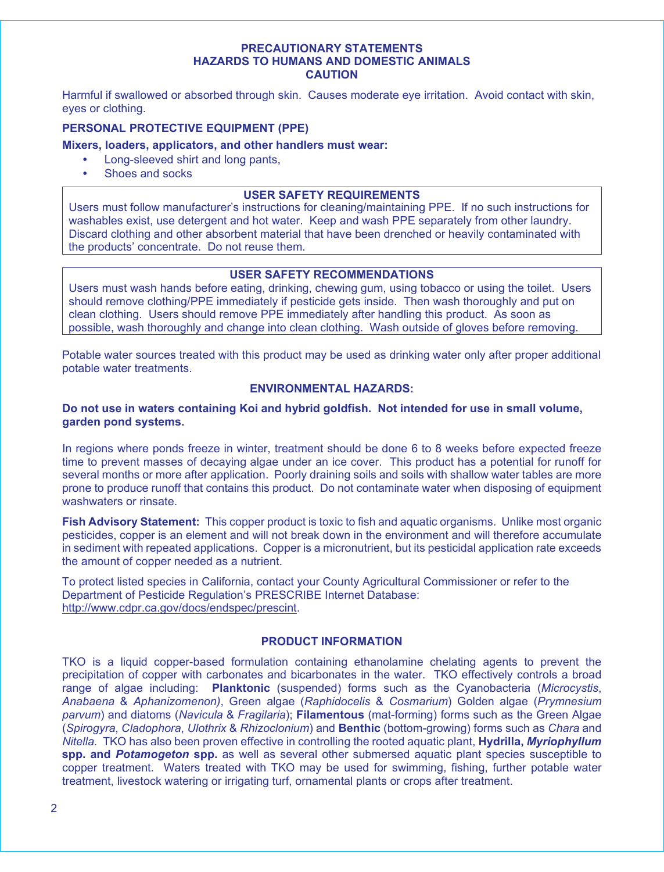#### **PRECAUTIONARY STATEMENTS HAZARDS TO HUMANS AND DOMESTIC ANIMALS CAUTION**

Harmful if swallowed or absorbed through skin. Causes moderate eye irritation. Avoid contact with skin, eyes or clothing.

# **PERSONAL PROTECTIVE EQUIPMENT (PPE)**

# **Mixers, loaders, applicators, and other handlers must wear:**

- **•** Long-sleeved shirt and long pants,
	- **•** Shoes and socks

# **USER SAFETY REQUIREMENTS**

Users must follow manufacturer's instructions for cleaning/maintaining PPE. If no such instructions for washables exist, use detergent and hot water. Keep and wash PPE separately from other laundry. Discard clothing and other absorbent material that have been drenched or heavily contaminated with the products' concentrate. Do not reuse them.

# **USER SAFETY RECOMMENDATIONS**

Users must wash hands before eating, drinking, chewing gum, using tobacco or using the toilet. Users should remove clothing/PPE immediately if pesticide gets inside. Then wash thoroughly and put on clean clothing. Users should remove PPE immediately after handling this product. As soon as possible, wash thoroughly and change into clean clothing. Wash outside of gloves before removing.

Potable water sources treated with this product may be used as drinking water only after proper additional potable water treatments.

# **ENVIRONMENTAL HAZARDS:**

#### **Do not use in waters containing Koi and hybrid goldfish. Not intended for use in small volume, garden pond systems.**

In regions where ponds freeze in winter, treatment should be done 6 to 8 weeks before expected freeze time to prevent masses of decaying algae under an ice cover. This product has a potential for runoff for several months or more after application. Poorly draining soils and soils with shallow water tables are more prone to produce runoff that contains this product. Do not contaminate water when disposing of equipment washwaters or rinsate.

**Fish Advisory Statement:** This copper product is toxic to fish and aquatic organisms. Unlike most organic pesticides, copper is an element and will not break down in the environment and will therefore accumulate in sediment with repeated applications. Copper is a micronutrient, but its pesticidal application rate exceeds the amount of copper needed as a nutrient.

To protect listed species in California, contact your County Agricultural Commissioner or refer to the Department of Pesticide Regulation's PRESCRIBE Internet Database: http://www.cdpr.ca.gov/docs/endspec/prescint.

# **PRODUCT INFORMATION**

TKO is a liquid copper-based formulation containing ethanolamine chelating agents to prevent the precipitation of copper with carbonates and bicarbonates in the water. TKO effectively controls a broad range of algae including: **Planktonic** (suspended) forms such as the Cyanobacteria (*Microcystis*, *Anabaena* & *Aphanizomenon)*, Green algae (*Raphidocelis* & *Cosmarium*) Golden algae (*Prymnesium parvum*) and diatoms (*Navicula* & *Fragilaria*); **Filamentous** (mat-forming) forms such as the Green Algae (*Spirogyra*, *Cladophora*, *Ulothrix* & *Rhizoclonium*) and **Benthic** (bottom-growing) forms such as *Chara* and *Nitella*. TKO has also been proven effective in controlling the rooted aquatic plant, **Hydrilla,** *Myriophyllum* **spp. and** *Potamogeton* **spp.** as well as several other submersed aquatic plant species susceptible to copper treatment. Waters treated with TKO may be used for swimming, fishing, further potable water treatment, livestock watering or irrigating turf, ornamental plants or crops after treatment.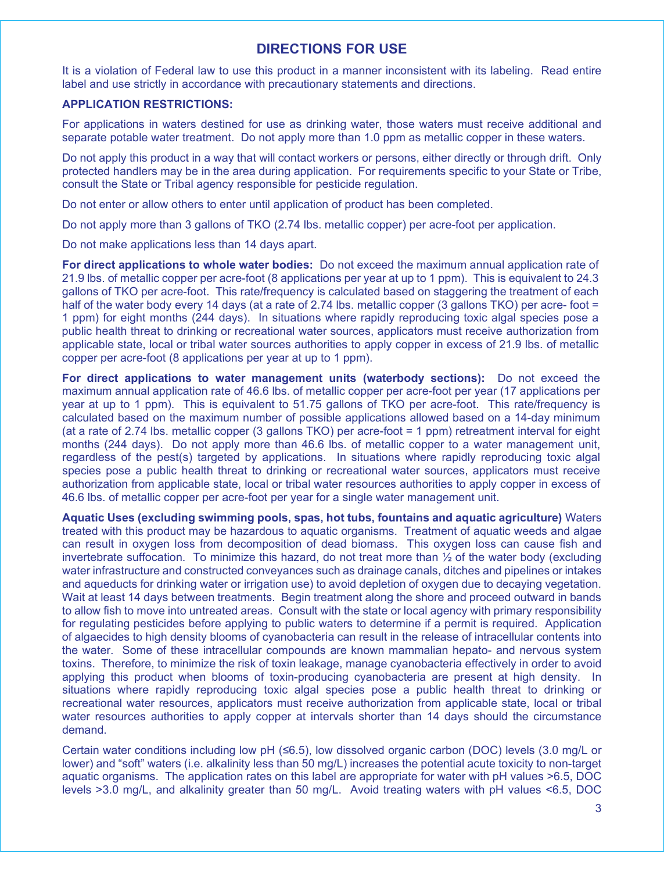# **DIRECTIONS FOR USE**

It is a violation of Federal law to use this product in a manner inconsistent with its labeling. Read entire label and use strictly in accordance with precautionary statements and directions.

#### **APPLICATION RESTRICTIONS:**

For applications in waters destined for use as drinking water, those waters must receive additional and separate potable water treatment. Do not apply more than 1.0 ppm as metallic copper in these waters.

Do not apply this product in a way that will contact workers or persons, either directly or through drift. Only protected handlers may be in the area during application. For requirements specific to your State or Tribe, consult the State or Tribal agency responsible for pesticide regulation.

Do not enter or allow others to enter until application of product has been completed.

Do not apply more than 3 gallons of TKO (2.74 lbs. metallic copper) per acre-foot per application.

Do not make applications less than 14 days apart.

**For direct applications to whole water bodies:** Do not exceed the maximum annual application rate of 21.9 lbs. of metallic copper per acre-foot (8 applications per year at up to 1 ppm). This is equivalent to 24.3 gallons of TKO per acre-foot. This rate/frequency is calculated based on staggering the treatment of each half of the water body every 14 days (at a rate of 2.74 lbs. metallic copper (3 gallons TKO) per acre- foot = 1 ppm) for eight months (244 days). In situations where rapidly reproducing toxic algal species pose a public health threat to drinking or recreational water sources, applicators must receive authorization from applicable state, local or tribal water sources authorities to apply copper in excess of 21.9 lbs. of metallic copper per acre-foot (8 applications per year at up to 1 ppm).

**For direct applications to water management units (waterbody sections):** Do not exceed the maximum annual application rate of 46.6 lbs. of metallic copper per acre-foot per year (17 applications per year at up to 1 ppm). This is equivalent to 51.75 gallons of TKO per acre-foot. This rate/frequency is calculated based on the maximum number of possible applications allowed based on a 14-day minimum (at a rate of 2.74 lbs. metallic copper (3 gallons TKO) per acre-foot = 1 ppm) retreatment interval for eight months (244 days). Do not apply more than 46.6 lbs. of metallic copper to a water management unit, regardless of the pest(s) targeted by applications. In situations where rapidly reproducing toxic algal species pose a public health threat to drinking or recreational water sources, applicators must receive authorization from applicable state, local or tribal water resources authorities to apply copper in excess of 46.6 lbs. of metallic copper per acre-foot per year for a single water management unit.

**Aquatic Uses (excluding swimming pools, spas, hot tubs, fountains and aquatic agriculture)** Waters treated with this product may be hazardous to aquatic organisms. Treatment of aquatic weeds and algae can result in oxygen loss from decomposition of dead biomass. This oxygen loss can cause fish and invertebrate suffocation. To minimize this hazard, do not treat more than  $\frac{1}{2}$  of the water body (excluding water infrastructure and constructed conveyances such as drainage canals, ditches and pipelines or intakes and aqueducts for drinking water or irrigation use) to avoid depletion of oxygen due to decaying vegetation. Wait at least 14 days between treatments. Begin treatment along the shore and proceed outward in bands to allow fish to move into untreated areas. Consult with the state or local agency with primary responsibility for regulating pesticides before applying to public waters to determine if a permit is required. Application of algaecides to high density blooms of cyanobacteria can result in the release of intracellular contents into the water. Some of these intracellular compounds are known mammalian hepato- and nervous system toxins. Therefore, to minimize the risk of toxin leakage, manage cyanobacteria effectively in order to avoid applying this product when blooms of toxin-producing cyanobacteria are present at high density. In situations where rapidly reproducing toxic algal species pose a public health threat to drinking or recreational water resources, applicators must receive authorization from applicable state, local or tribal water resources authorities to apply copper at intervals shorter than 14 days should the circumstance demand.

Certain water conditions including low pH (≤6.5), low dissolved organic carbon (DOC) levels (3.0 mg/L or lower) and "soft" waters (i.e. alkalinity less than 50 mg/L) increases the potential acute toxicity to non-target aquatic organisms. The application rates on this label are appropriate for water with pH values >6.5, DOC levels >3.0 mg/L, and alkalinity greater than 50 mg/L. Avoid treating waters with pH values <6.5, DOC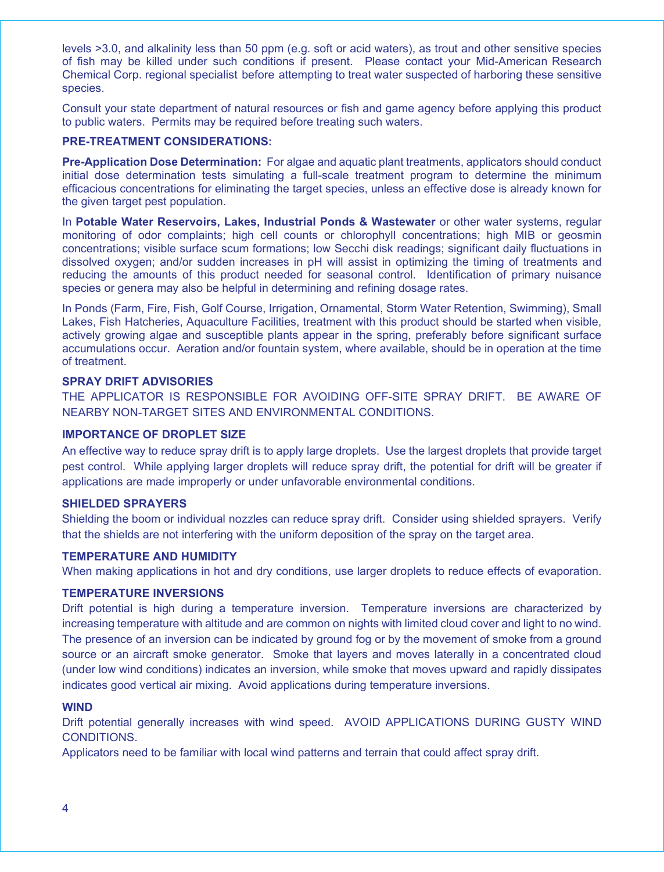levels >3.0, and alkalinity less than 50 ppm (e.g. soft or acid waters), as trout and other sensitive species of fish may be killed under such conditions if present. Please contact your Mid-American Research Chemical Corp. regional specialist before attempting to treat water suspected of harboring these sensitive species.

Consult your state department of natural resources or fish and game agency before applying this product to public waters. Permits may be required before treating such waters.

# **PRE-TREATMENT CONSIDERATIONS:**

**Pre-Application Dose Determination:** For algae and aquatic plant treatments, applicators should conduct initial dose determination tests simulating a full-scale treatment program to determine the minimum efficacious concentrations for eliminating the target species, unless an effective dose is already known for the given target pest population.

In **Potable Water Reservoirs, Lakes, Industrial Ponds & Wastewater** or other water systems, regular monitoring of odor complaints; high cell counts or chlorophyll concentrations; high MIB or geosmin concentrations; visible surface scum formations; low Secchi disk readings; significant daily fluctuations in dissolved oxygen; and/or sudden increases in pH will assist in optimizing the timing of treatments and reducing the amounts of this product needed for seasonal control. Identification of primary nuisance species or genera may also be helpful in determining and refining dosage rates.

In Ponds (Farm, Fire, Fish, Golf Course, Irrigation, Ornamental, Storm Water Retention, Swimming), Small Lakes, Fish Hatcheries, Aquaculture Facilities, treatment with this product should be started when visible, actively growing algae and susceptible plants appear in the spring, preferably before significant surface accumulations occur. Aeration and/or fountain system, where available, should be in operation at the time of treatment.

#### **SPRAY DRIFT ADVISORIES**

THE APPLICATOR IS RESPONSIBLE FOR AVOIDING OFF-SITE SPRAY DRIFT. BE AWARE OF NEARBY NON-TARGET SITES AND ENVIRONMENTAL CONDITIONS.

# **IMPORTANCE OF DROPLET SIZE**

An effective way to reduce spray drift is to apply large droplets. Use the largest droplets that provide target pest control. While applying larger droplets will reduce spray drift, the potential for drift will be greater if applications are made improperly or under unfavorable environmental conditions.

#### **SHIELDED SPRAYERS**

Shielding the boom or individual nozzles can reduce spray drift. Consider using shielded sprayers. Verify that the shields are not interfering with the uniform deposition of the spray on the target area.

#### **TEMPERATURE AND HUMIDITY**

When making applications in hot and dry conditions, use larger droplets to reduce effects of evaporation.

#### **TEMPERATURE INVERSIONS**

Drift potential is high during a temperature inversion. Temperature inversions are characterized by increasing temperature with altitude and are common on nights with limited cloud cover and light to no wind. The presence of an inversion can be indicated by ground fog or by the movement of smoke from a ground source or an aircraft smoke generator. Smoke that layers and moves laterally in a concentrated cloud (under low wind conditions) indicates an inversion, while smoke that moves upward and rapidly dissipates indicates good vertical air mixing. Avoid applications during temperature inversions.

#### **WIND**

Drift potential generally increases with wind speed. AVOID APPLICATIONS DURING GUSTY WIND CONDITIONS.

Applicators need to be familiar with local wind patterns and terrain that could affect spray drift.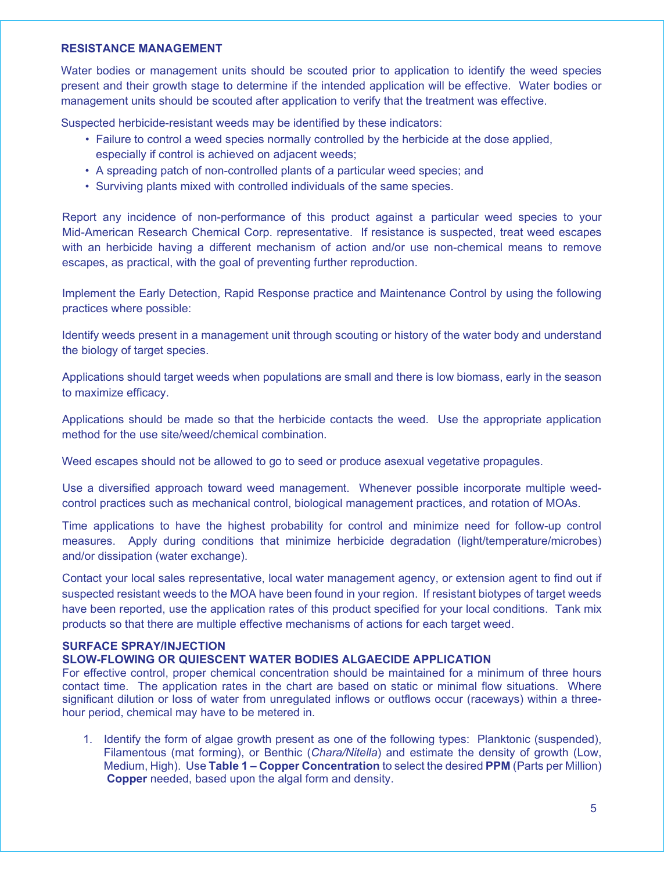#### **RESISTANCE MANAGEMENT**

Water bodies or management units should be scouted prior to application to identify the weed species present and their growth stage to determine if the intended application will be effective. Water bodies or management units should be scouted after application to verify that the treatment was effective.

Suspected herbicide-resistant weeds may be identified by these indicators:

- Failure to control a weed species normally controlled by the herbicide at the dose applied, especially if control is achieved on adjacent weeds;
- A spreading patch of non-controlled plants of a particular weed species; and
- Surviving plants mixed with controlled individuals of the same species.

Report any incidence of non-performance of this product against a particular weed species to your Mid-American Research Chemical Corp. representative. If resistance is suspected, treat weed escapes with an herbicide having a different mechanism of action and/or use non-chemical means to remove escapes, as practical, with the goal of preventing further reproduction.

Implement the Early Detection, Rapid Response practice and Maintenance Control by using the following practices where possible:

Identify weeds present in a management unit through scouting or history of the water body and understand the biology of target species.

Applications should target weeds when populations are small and there is low biomass, early in the season to maximize efficacy.

Applications should be made so that the herbicide contacts the weed. Use the appropriate application method for the use site/weed/chemical combination.

Weed escapes should not be allowed to go to seed or produce asexual vegetative propagules.

Use a diversified approach toward weed management. Whenever possible incorporate multiple weedcontrol practices such as mechanical control, biological management practices, and rotation of MOAs.

Time applications to have the highest probability for control and minimize need for follow-up control measures. Apply during conditions that minimize herbicide degradation (light/temperature/microbes) and/or dissipation (water exchange).

Contact your local sales representative, local water management agency, or extension agent to find out if suspected resistant weeds to the MOA have been found in your region. If resistant biotypes of target weeds have been reported, use the application rates of this product specified for your local conditions. Tank mix products so that there are multiple effective mechanisms of actions for each target weed.

# **SURFACE SPRAY/INJECTION**

#### **SLOW-FLOWING OR QUIESCENT WATER BODIES ALGAECIDE APPLICATION**

For effective control, proper chemical concentration should be maintained for a minimum of three hours contact time. The application rates in the chart are based on static or minimal flow situations. Where significant dilution or loss of water from unregulated inflows or outflows occur (raceways) within a threehour period, chemical may have to be metered in.

1. Identify the form of algae growth present as one of the following types: Planktonic (suspended), Filamentous (mat forming), or Benthic (*Chara/Nitella*) and estimate the density of growth (Low, Medium, High). Use **Table 1 – Copper Concentration** to select the desired **PPM** (Parts per Million) **Copper** needed, based upon the algal form and density.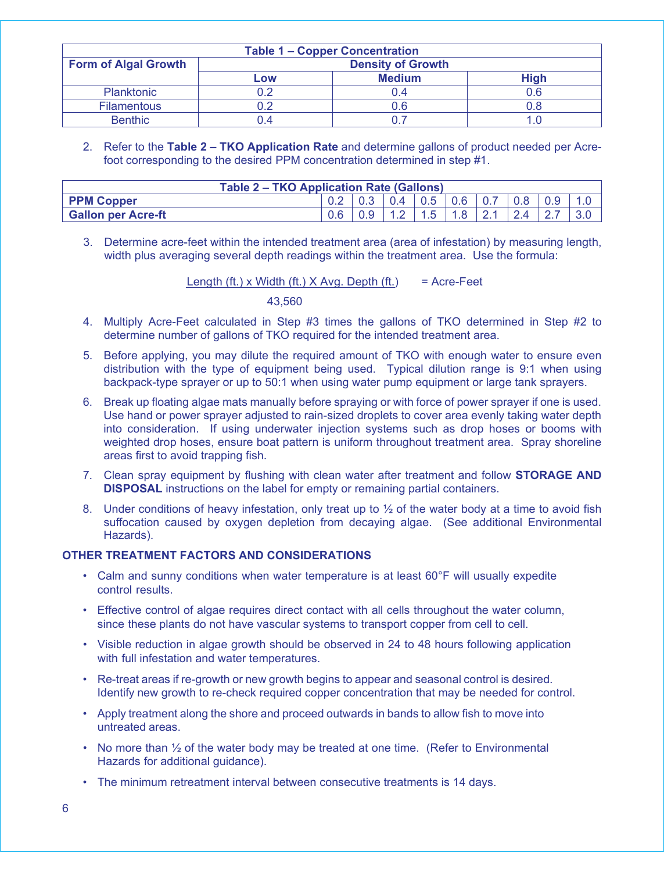| <b>Table 1 – Copper Concentration</b> |                          |               |             |  |
|---------------------------------------|--------------------------|---------------|-------------|--|
| <b>Form of Algal Growth</b>           | <b>Density of Growth</b> |               |             |  |
|                                       | Low                      | <b>Medium</b> | <b>High</b> |  |
| Planktonic                            | ).2                      | 0.4           |             |  |
| <b>Filamentous</b>                    |                          | 0.6           |             |  |
| <b>Benthic</b>                        | 14                       |               |             |  |

2. Refer to the **Table 2 – TKO Application Rate** and determine gallons of product needed per Acrefoot corresponding to the desired PPM concentration determined in step #1.

| Table 2 – TKO Application Rate (Gallons) |  |  |     |     |           |     |     |  |
|------------------------------------------|--|--|-----|-----|-----------|-----|-----|--|
| <b>PPM Copper</b>                        |  |  | 0.4 | 0.5 | 0.6   0.7 | 0.8 |     |  |
| <b>Gallon per Acre-ft</b>                |  |  |     | 1.5 | .8        | 24  | 2.7 |  |

3. Determine acre-feet within the intended treatment area (area of infestation) by measuring length, width plus averaging several depth readings within the treatment area. Use the formula:

Length (ft.) x Width (ft.) X Avg. Depth (ft.)  $=$  Acre-Feet

#### 43,560

- 4. Multiply Acre-Feet calculated in Step #3 times the gallons of TKO determined in Step #2 to determine number of gallons of TKO required for the intended treatment area.
- 5. Before applying, you may dilute the required amount of TKO with enough water to ensure even distribution with the type of equipment being used. Typical dilution range is 9:1 when using backpack-type sprayer or up to 50:1 when using water pump equipment or large tank sprayers.
- 6. Break up floating algae mats manually before spraying or with force of power sprayer if one is used. Use hand or power sprayer adjusted to rain-sized droplets to cover area evenly taking water depth into consideration. If using underwater injection systems such as drop hoses or booms with weighted drop hoses, ensure boat pattern is uniform throughout treatment area. Spray shoreline areas first to avoid trapping fish.
- 7. Clean spray equipment by flushing with clean water after treatment and follow **STORAGE AND DISPOSAL** instructions on the label for empty or remaining partial containers.
- 8. Under conditions of heavy infestation, only treat up to  $\frac{1}{2}$  of the water body at a time to avoid fish suffocation caused by oxygen depletion from decaying algae. (See additional Environmental Hazards).

# **OTHER TREATMENT FACTORS AND CONSIDERATIONS**

- Calm and sunny conditions when water temperature is at least 60°F will usually expedite control results.
- Effective control of algae requires direct contact with all cells throughout the water column, since these plants do not have vascular systems to transport copper from cell to cell.
- Visible reduction in algae growth should be observed in 24 to 48 hours following application with full infestation and water temperatures.
- Re-treat areas if re-growth or new growth begins to appear and seasonal control is desired. Identify new growth to re-check required copper concentration that may be needed for control.
- Apply treatment along the shore and proceed outwards in bands to allow fish to move into untreated areas.
- No more than  $\frac{1}{2}$  of the water body may be treated at one time. (Refer to Environmental Hazards for additional guidance).
- The minimum retreatment interval between consecutive treatments is 14 days.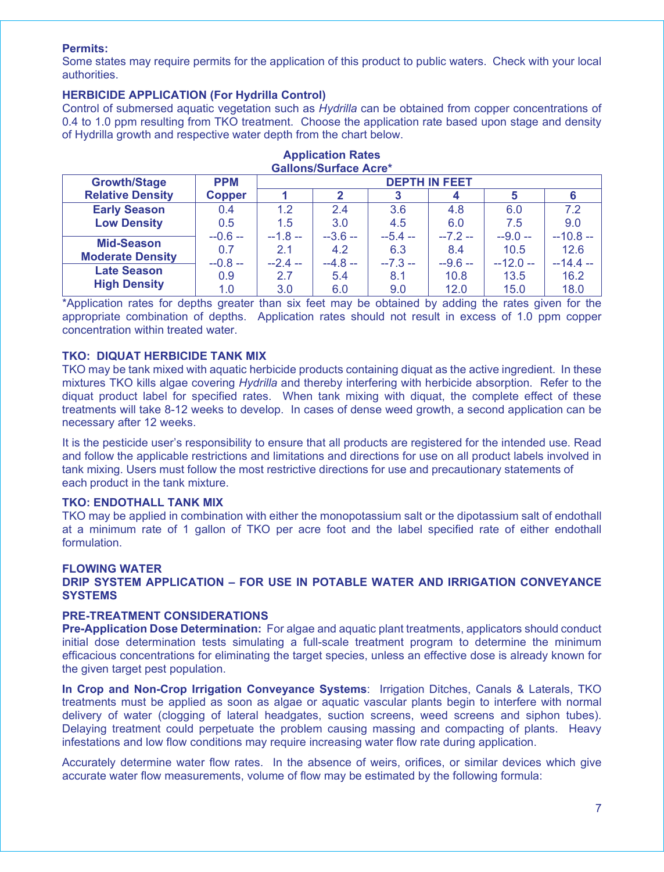# **Permits:**

Some states may require permits for the application of this product to public waters. Check with your local authorities.

## **HERBICIDE APPLICATION (For Hydrilla Control)**

Control of submersed aquatic vegetation such as *Hydrilla* can be obtained from copper concentrations of 0.4 to 1.0 ppm resulting from TKO treatment. Choose the application rate based upon stage and density of Hydrilla growth and respective water depth from the chart below.

| <b>Gallons/Surface Acre*</b> |               |                      |          |          |          |           |           |
|------------------------------|---------------|----------------------|----------|----------|----------|-----------|-----------|
| <b>Growth/Stage</b>          | <b>PPM</b>    | <b>DEPTH IN FEET</b> |          |          |          |           |           |
| <b>Relative Density</b>      | <b>Copper</b> |                      |          | 3        | 4        | 5         | 6         |
| <b>Early Season</b>          | 0.4           | 1.2                  | 24       | 3.6      | 4.8      | 6.0       | 7.2       |
| <b>Low Density</b>           | 0.5           | 1.5                  | 3.0      | 4.5      | 6.0      | 7.5       | 9.0       |
|                              | $-0.6 -$      | $-1.8 -$             | $-3.6 -$ | $-5.4 -$ | $-7.2 -$ | $-9.0 -$  | $-10.8 -$ |
| <b>Mid-Season</b>            | 0.7           | 2.1                  | 4.2      | 6.3      | 8.4      | 10.5      | 12.6      |
| <b>Moderate Density</b>      | $-0.8 -$      | $-2.4 -$             | $-4.8 -$ | $-7.3 -$ | $-9.6 -$ | $-12.0 -$ | $-14.4 -$ |
| <b>Late Season</b>           | 0.9           | 2.7                  | 5.4      | 8.1      | 10.8     | 13.5      | 16.2      |
| <b>High Density</b>          | 1.0           | 3.0                  | 6.0      | 9.0      | 12.0     | 15.0      | 18.0      |

# **Application Rates**

\*Application rates for depths greater than six feet may be obtained by adding the rates given for the appropriate combination of depths. Application rates should not result in excess of 1.0 ppm copper concentration within treated water.

# **TKO: DIQUAT HERBICIDE TANK MIX**

TKO may be tank mixed with aquatic herbicide products containing diquat as the active ingredient. In these mixtures TKO kills algae covering *Hydrilla* and thereby interfering with herbicide absorption. Refer to the diquat product label for specified rates. When tank mixing with diquat, the complete effect of these treatments will take 8-12 weeks to develop. In cases of dense weed growth, a second application can be necessary after 12 weeks.

It is the pesticide user's responsibility to ensure that all products are registered for the intended use. Read and follow the applicable restrictions and limitations and directions for use on all product labels involved in tank mixing. Users must follow the most restrictive directions for use and precautionary statements of each product in the tank mixture.

#### **TKO: ENDOTHALL TANK MIX**

TKO may be applied in combination with either the monopotassium salt or the dipotassium salt of endothall at a minimum rate of 1 gallon of TKO per acre foot and the label specified rate of either endothall formulation.

#### **FLOWING WATER**

# **DRIP SYSTEM APPLICATION – FOR USE IN POTABLE WATER AND IRRIGATION CONVEYANCE SYSTEMS**

# **PRE-TREATMENT CONSIDERATIONS**

**Pre-Application Dose Determination:** For algae and aquatic plant treatments, applicators should conduct initial dose determination tests simulating a full-scale treatment program to determine the minimum efficacious concentrations for eliminating the target species, unless an effective dose is already known for the given target pest population.

**In Crop and Non-Crop Irrigation Conveyance Systems**: Irrigation Ditches, Canals & Laterals, TKO treatments must be applied as soon as algae or aquatic vascular plants begin to interfere with normal delivery of water (clogging of lateral headgates, suction screens, weed screens and siphon tubes). Delaying treatment could perpetuate the problem causing massing and compacting of plants. Heavy infestations and low flow conditions may require increasing water flow rate during application.

Accurately determine water flow rates. In the absence of weirs, orifices, or similar devices which give accurate water flow measurements, volume of flow may be estimated by the following formula: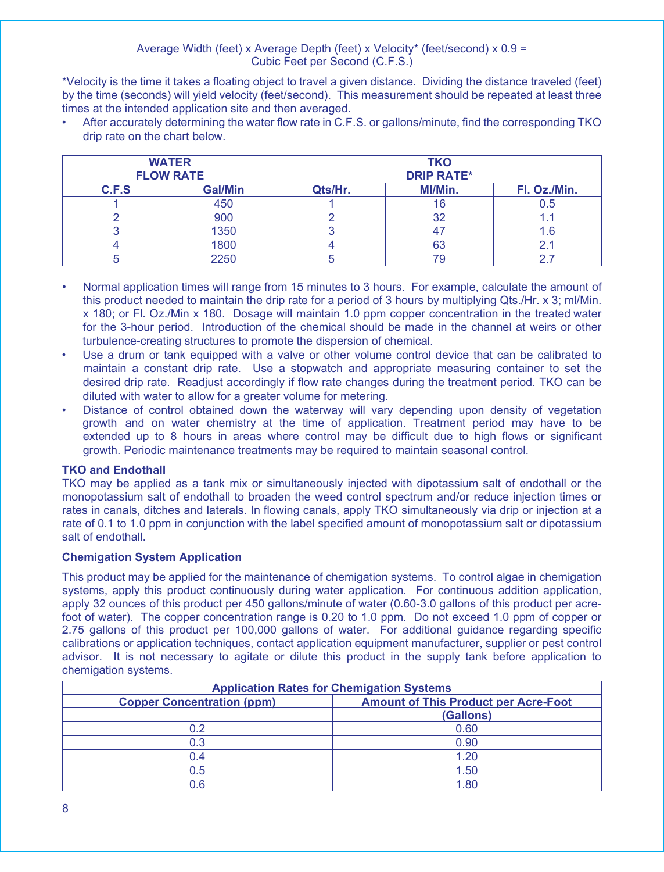#### Average Width (feet) x Average Depth (feet) x Velocity\* (feet/second) x 0.9 = Cubic Feet per Second (C.F.S.)

\*Velocity is the time it takes a floating object to travel a given distance. Dividing the distance traveled (feet) by the time (seconds) will yield velocity (feet/second). This measurement should be repeated at least three times at the intended application site and then averaged.

• After accurately determining the water flow rate in C.F.S. or gallons/minute, find the corresponding TKO drip rate on the chart below.

|       | <b>WATER</b><br><b>FLOW RATE</b> |         | <b>TKO</b><br><b>DRIP RATE*</b> |              |
|-------|----------------------------------|---------|---------------------------------|--------------|
| C.F.S | <b>Gal/Min</b>                   | Qts/Hr. | MI/Min.                         | Fl. Oz./Min. |
|       | 450                              |         | 16                              | U.5          |
|       | 900                              |         | 32                              |              |
|       | 1350                             |         |                                 |              |
|       | 1800                             |         | 63                              |              |
|       | 2250                             |         |                                 |              |

- Normal application times will range from 15 minutes to 3 hours. For example, calculate the amount of this product needed to maintain the drip rate for a period of 3 hours by multiplying Qts./Hr. x 3; ml/Min. x 180; or Fl. Oz./Min x 180. Dosage will maintain 1.0 ppm copper concentration in the treated water for the 3-hour period. Introduction of the chemical should be made in the channel at weirs or other turbulence-creating structures to promote the dispersion of chemical.
- Use a drum or tank equipped with a valve or other volume control device that can be calibrated to maintain a constant drip rate. Use a stopwatch and appropriate measuring container to set the desired drip rate. Readjust accordingly if flow rate changes during the treatment period. TKO can be diluted with water to allow for a greater volume for metering.
- Distance of control obtained down the waterway will vary depending upon density of vegetation growth and on water chemistry at the time of application. Treatment period may have to be extended up to 8 hours in areas where control may be difficult due to high flows or significant growth. Periodic maintenance treatments may be required to maintain seasonal control.

# **TKO and Endothall**

TKO may be applied as a tank mix or simultaneously injected with dipotassium salt of endothall or the monopotassium salt of endothall to broaden the weed control spectrum and/or reduce injection times or rates in canals, ditches and laterals. In flowing canals, apply TKO simultaneously via drip or injection at a rate of 0.1 to 1.0 ppm in conjunction with the label specified amount of monopotassium salt or dipotassium salt of endothall.

# **Chemigation System Application**

This product may be applied for the maintenance of chemigation systems. To control algae in chemigation systems, apply this product continuously during water application. For continuous addition application, apply 32 ounces of this product per 450 gallons/minute of water (0.60-3.0 gallons of this product per acrefoot of water). The copper concentration range is 0.20 to 1.0 ppm. Do not exceed 1.0 ppm of copper or 2.75 gallons of this product per 100,000 gallons of water. For additional guidance regarding specific calibrations or application techniques, contact application equipment manufacturer, supplier or pest control advisor. It is not necessary to agitate or dilute this product in the supply tank before application to chemigation systems.

| <b>Application Rates for Chemigation Systems</b> |                                             |  |  |
|--------------------------------------------------|---------------------------------------------|--|--|
| <b>Copper Concentration (ppm)</b>                | <b>Amount of This Product per Acre-Foot</b> |  |  |
|                                                  | (Gallons)                                   |  |  |
| 0.2                                              | 0.60                                        |  |  |
| 0.3                                              | 0.90                                        |  |  |
| 0.4                                              | 1.20                                        |  |  |
| 0.5                                              | 1.50                                        |  |  |
| 0.6                                              | 1.80                                        |  |  |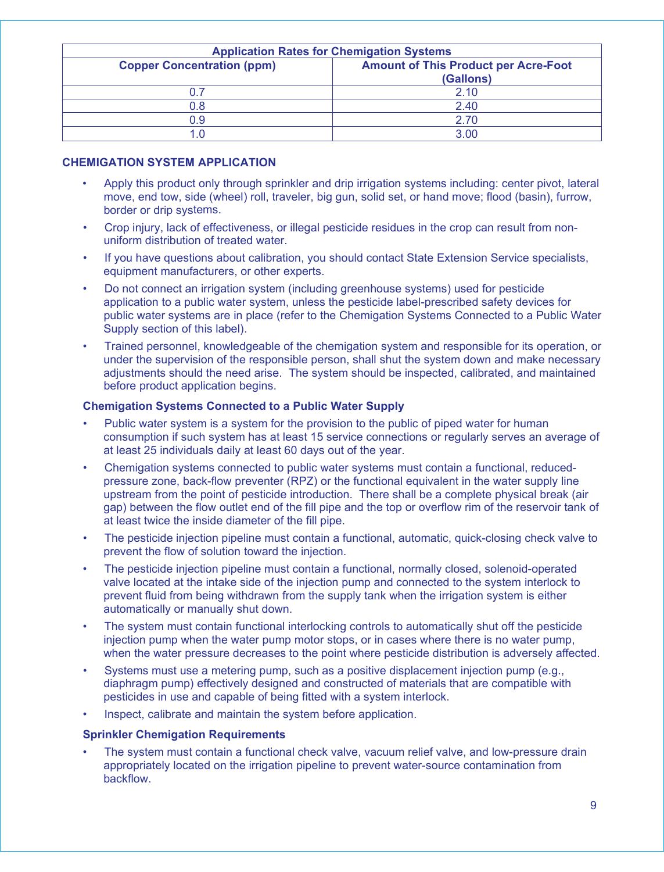| <b>Application Rates for Chemigation Systems</b> |                                                          |  |  |
|--------------------------------------------------|----------------------------------------------------------|--|--|
| <b>Copper Concentration (ppm)</b>                | <b>Amount of This Product per Acre-Foot</b><br>(Gallons) |  |  |
|                                                  | 2.10                                                     |  |  |
| 0.8                                              | 2.40                                                     |  |  |
| 0.9                                              | 2.70                                                     |  |  |
|                                                  | 3.00                                                     |  |  |

# **CHEMIGATION SYSTEM APPLICATION**

- Apply this product only through sprinkler and drip irrigation systems including: center pivot, lateral move, end tow, side (wheel) roll, traveler, big gun, solid set, or hand move; flood (basin), furrow, border or drip systems.
- Crop injury, lack of effectiveness, or illegal pesticide residues in the crop can result from nonuniform distribution of treated water.
- If you have questions about calibration, you should contact State Extension Service specialists, equipment manufacturers, or other experts.
- Do not connect an irrigation system (including greenhouse systems) used for pesticide application to a public water system, unless the pesticide label-prescribed safety devices for public water systems are in place (refer to the Chemigation Systems Connected to a Public Water Supply section of this label).
- Trained personnel, knowledgeable of the chemigation system and responsible for its operation, or under the supervision of the responsible person, shall shut the system down and make necessary adjustments should the need arise. The system should be inspected, calibrated, and maintained before product application begins.

# **Chemigation Systems Connected to a Public Water Supply**

- Public water system is a system for the provision to the public of piped water for human consumption if such system has at least 15 service connections or regularly serves an average of at least 25 individuals daily at least 60 days out of the year.
- Chemigation systems connected to public water systems must contain a functional, reducedpressure zone, back-flow preventer (RPZ) or the functional equivalent in the water supply line upstream from the point of pesticide introduction. There shall be a complete physical break (air gap) between the flow outlet end of the fill pipe and the top or overflow rim of the reservoir tank of at least twice the inside diameter of the fill pipe.
- The pesticide injection pipeline must contain a functional, automatic, quick-closing check valve to prevent the flow of solution toward the injection.
- The pesticide injection pipeline must contain a functional, normally closed, solenoid-operated valve located at the intake side of the injection pump and connected to the system interlock to prevent fluid from being withdrawn from the supply tank when the irrigation system is either automatically or manually shut down.
- The system must contain functional interlocking controls to automatically shut off the pesticide injection pump when the water pump motor stops, or in cases where there is no water pump, when the water pressure decreases to the point where pesticide distribution is adversely affected.
- Systems must use a metering pump, such as a positive displacement injection pump (e.g., diaphragm pump) effectively designed and constructed of materials that are compatible with pesticides in use and capable of being fitted with a system interlock.
- Inspect, calibrate and maintain the system before application.

# **Sprinkler Chemigation Requirements**

• The system must contain a functional check valve, vacuum relief valve, and low-pressure drain appropriately located on the irrigation pipeline to prevent water-source contamination from backflow.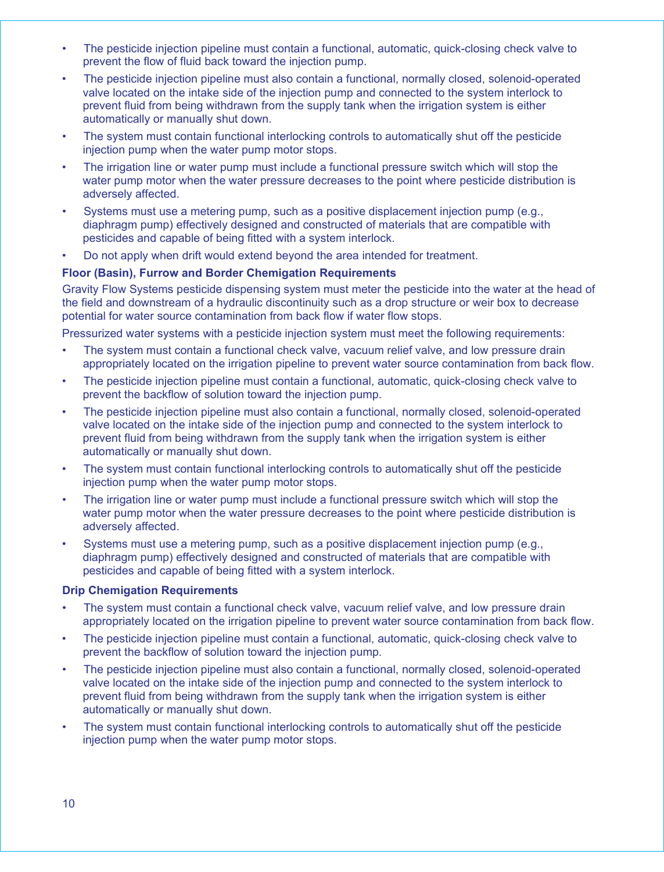- The pesticide injection pipeline must contain a functional, automatic, quick-closing check valve to prevent the flow of fluid back toward the injection pump.
- The pesticide injection pipeline must also contain a functional, normally closed, solenoid-operated valve located on the intake side of the injection pump and connected to the system interlock to prevent fluid from being withdrawn from the supply tank when the irrigation system is either automatically or manually shut down.
- The system must contain functional interlocking controls to automatically shut off the pesticide injection pump when the water pump motor stops.
- The irrigation line or water pump must include a functional pressure switch which will stop the water pump motor when the water pressure decreases to the point where pesticide distribution is adversely affected.
- Systems must use a metering pump, such as a positive displacement injection pump (e.g., diaphragm pump) effectively designed and constructed of materials that are compatible with pesticides and capable of being fitted with a system interlock.
- Do not apply when drift would extend beyond the area intended for treatment.

#### **Floor (Basin), Furrow and Border Chemigation Requirements**

Gravity Flow Systems pesticide dispensing system must meter the pesticide into the water at the head of the field and downstream of a hydraulic discontinuity such as a drop structure or weir box to decrease potential for water source contamination from back flow if water flow stops.

Pressurized water systems with a pesticide injection system must meet the following requirements:

- The system must contain a functional check valve, vacuum relief valve, and low pressure drain appropriately located on the irrigation pipeline to prevent water source contamination from back flow.
- The pesticide injection pipeline must contain a functional, automatic, quick-closing check valve to prevent the backflow of solution toward the injection pump.
- The pesticide injection pipeline must also contain a functional, normally closed, solenoid-operated valve located on the intake side of the injection pump and connected to the system interlock to prevent fluid from being withdrawn from the supply tank when the irrigation system is either automatically or manually shut down.
- The system must contain functional interlocking controls to automatically shut off the pesticide injection pump when the water pump motor stops.
- The irrigation line or water pump must include a functional pressure switch which will stop the water pump motor when the water pressure decreases to the point where pesticide distribution is adversely affected.
- Systems must use a metering pump, such as a positive displacement injection pump (e.g., diaphragm pump) effectively designed and constructed of materials that are compatible with pesticides and capable of being fitted with a system interlock.

#### **Drip Chemigation Requirements**

- The system must contain a functional check valve, vacuum relief valve, and low pressure drain appropriately located on the irrigation pipeline to prevent water source contamination from back flow.
- The pesticide injection pipeline must contain a functional, automatic, quick-closing check valve to prevent the backflow of solution toward the injection pump.
- The pesticide injection pipeline must also contain a functional, normally closed, solenoid-operated valve located on the intake side of the injection pump and connected to the system interlock to prevent fluid from being withdrawn from the supply tank when the irrigation system is either automatically or manually shut down.
- The system must contain functional interlocking controls to automatically shut off the pesticide injection pump when the water pump motor stops.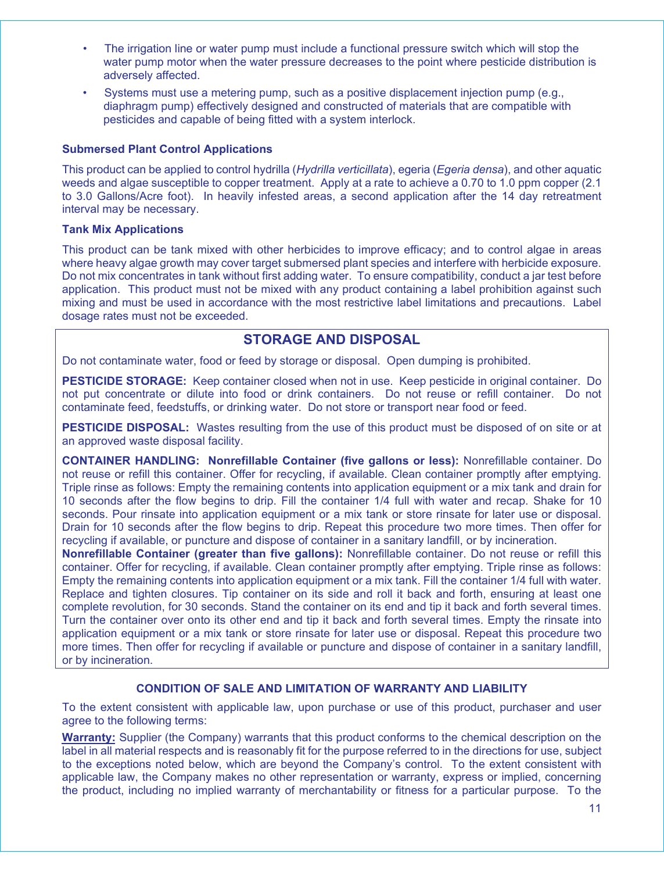- The irrigation line or water pump must include a functional pressure switch which will stop the water pump motor when the water pressure decreases to the point where pesticide distribution is adversely affected.
- Systems must use a metering pump, such as a positive displacement injection pump (e.g., diaphragm pump) effectively designed and constructed of materials that are compatible with pesticides and capable of being fitted with a system interlock.

# **Submersed Plant Control Applications**

This product can be applied to control hydrilla (*Hydrilla verticillata*), egeria (*Egeria densa*), and other aquatic weeds and algae susceptible to copper treatment. Apply at a rate to achieve a 0.70 to 1.0 ppm copper (2.1 to 3.0 Gallons/Acre foot). In heavily infested areas, a second application after the 14 day retreatment interval may be necessary.

# **Tank Mix Applications**

This product can be tank mixed with other herbicides to improve efficacy; and to control algae in areas where heavy algae growth may cover target submersed plant species and interfere with herbicide exposure. Do not mix concentrates in tank without first adding water. To ensure compatibility, conduct a jar test before application. This product must not be mixed with any product containing a label prohibition against such mixing and must be used in accordance with the most restrictive label limitations and precautions. Label dosage rates must not be exceeded.

# **STORAGE AND DISPOSAL**

Do not contaminate water, food or feed by storage or disposal. Open dumping is prohibited.

**PESTICIDE STORAGE:** Keep container closed when not in use. Keep pesticide in original container. Do not put concentrate or dilute into food or drink containers. Do not reuse or refill container. Do not contaminate feed, feedstuffs, or drinking water. Do not store or transport near food or feed.

**PESTICIDE DISPOSAL:** Wastes resulting from the use of this product must be disposed of on site or at an approved waste disposal facility.

**CONTAINER HANDLING: Nonrefillable Container (five gallons or less):** Nonrefillable container. Do not reuse or refill this container. Offer for recycling, if available. Clean container promptly after emptying. Triple rinse as follows: Empty the remaining contents into application equipment or a mix tank and drain for 10 seconds after the flow begins to drip. Fill the container 1/4 full with water and recap. Shake for 10 seconds. Pour rinsate into application equipment or a mix tank or store rinsate for later use or disposal. Drain for 10 seconds after the flow begins to drip. Repeat this procedure two more times. Then offer for recycling if available, or puncture and dispose of container in a sanitary landfill, or by incineration.

**Nonrefillable Container (greater than five gallons):** Nonrefillable container. Do not reuse or refill this container. Offer for recycling, if available. Clean container promptly after emptying. Triple rinse as follows: Empty the remaining contents into application equipment or a mix tank. Fill the container 1/4 full with water. Replace and tighten closures. Tip container on its side and roll it back and forth, ensuring at least one complete revolution, for 30 seconds. Stand the container on its end and tip it back and forth several times. Turn the container over onto its other end and tip it back and forth several times. Empty the rinsate into application equipment or a mix tank or store rinsate for later use or disposal. Repeat this procedure two more times. Then offer for recycling if available or puncture and dispose of container in a sanitary landfill, or by incineration.

# **CONDITION OF SALE AND LIMITATION OF WARRANTY AND LIABILITY**

To the extent consistent with applicable law, upon purchase or use of this product, purchaser and user agree to the following terms:

**Warranty:** Supplier (the Company) warrants that this product conforms to the chemical description on the label in all material respects and is reasonably fit for the purpose referred to in the directions for use, subject to the exceptions noted below, which are beyond the Company's control. To the extent consistent with applicable law, the Company makes no other representation or warranty, express or implied, concerning the product, including no implied warranty of merchantability or fitness for a particular purpose. To the